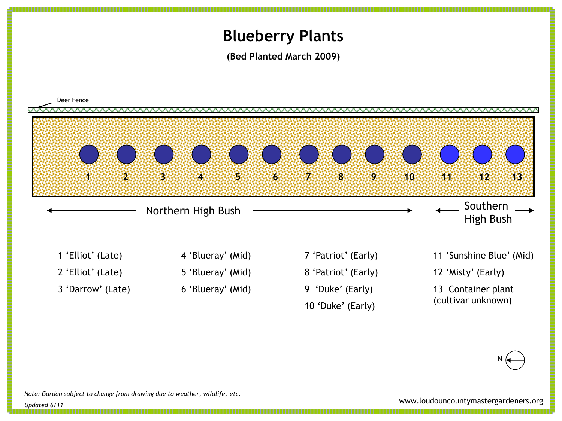## **Blueberry Plants**

**(Bed Planted March 2009)**



N

*Note: Garden subject to change from drawing due to weather, wildlife, etc.*